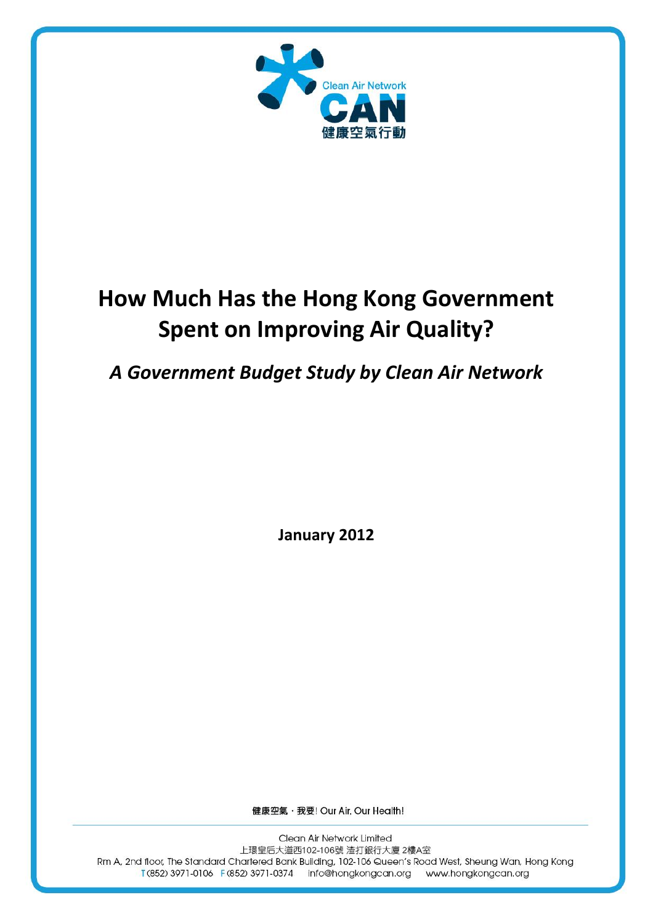

# **How Much Has the Hong Kong Government Spent on Improving Air Quality?**

## *A Government Budget Study by Clean Air Network*

**January 2012**

健康空氣, 我要! Our Air, Our Health!

Clean Air Network Limited 上環皇后大道西102-106號 渣打銀行大廈 2樓A室 Rm A, 2nd floor, The Standard Chartered Bank Building, 102-106 Queen's Road West, Sheung Wan, Hong Kong T (852) 3971-0106 F (852) 3971-0374 info@hongkongcan.org www.hongkongcan.org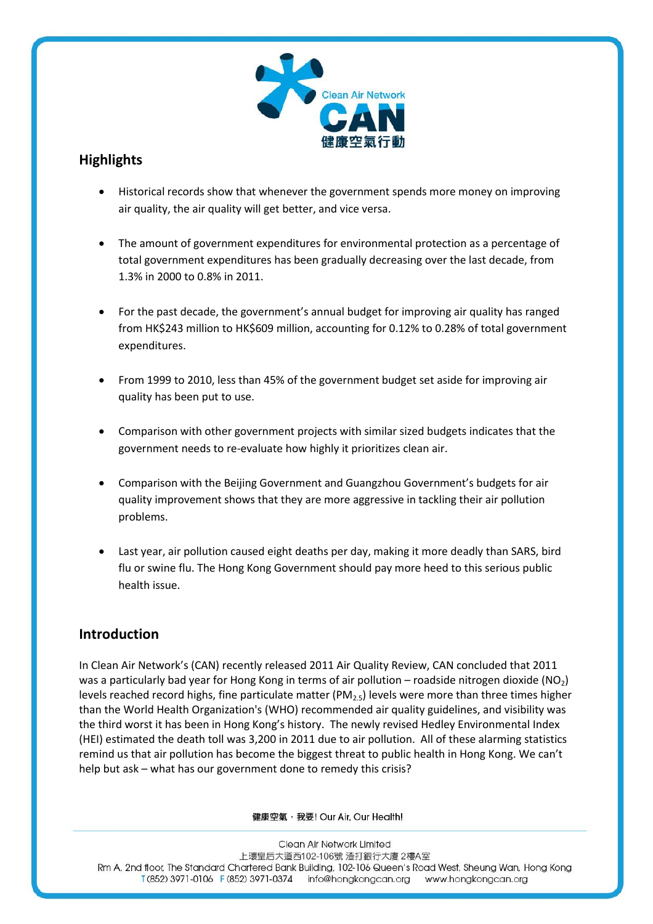

## **Highlights**

- Historical records show that whenever the government spends more money on improving air quality, the air quality will get better, and vice versa.
- The amount of government expenditures for environmental protection as a percentage of total government expenditures has been gradually decreasing over the last decade, from 1.3% in 2000 to 0.8% in 2011.
- For the past decade, the government's annual budget for improving air quality has ranged from HK\$243 million to HK\$609 million, accounting for 0.12% to 0.28% of total government expenditures.
- From 1999 to 2010, less than 45% of the government budget set aside for improving air quality has been put to use.
- Comparison with other government projects with similar sized budgets indicates that the government needs to re-evaluate how highly it prioritizes clean air.
- Comparison with the Beijing Government and Guangzhou Government's budgets for air quality improvement shows that they are more aggressive in tackling their air pollution problems.
- Last year, air pollution caused eight deaths per day, making it more deadly than SARS, bird flu or swine flu. The Hong Kong Government should pay more heed to this serious public health issue.

## **Introduction**

In Clean Air Network's (CAN) recently released 2011 Air Quality Review, CAN concluded that 2011 was a particularly bad year for Hong Kong in terms of air pollution – roadside nitrogen dioxide  $(NO<sub>2</sub>)$ levels reached record highs, fine particulate matter ( $PM_{2.5}$ ) levels were more than three times higher than the World Health Organization's (WHO) recommended air quality guidelines, and visibility was the third worst it has been in Hong Kong's history. The newly revised Hedley Environmental Index (HEI) estimated the death toll was 3,200 in 2011 due to air pollution. All of these alarming statistics remind us that air pollution has become the biggest threat to public health in Hong Kong. We can't help but ask – what has our government done to remedy this crisis?

健康空氣, 我要! Our Air, Our Health!

Clean Air Network Limited 上環皇后大道西102-106號 渣打銀行大廈 2樓A室 Rm A, 2nd floor, The Standard Chartered Bank Building, 102-106 Queen's Road West, Sheung Wan, Hong Kong T(852) 3971-0106 F(852) 3971-0374 info@hongkongcan.org www.hongkongcan.org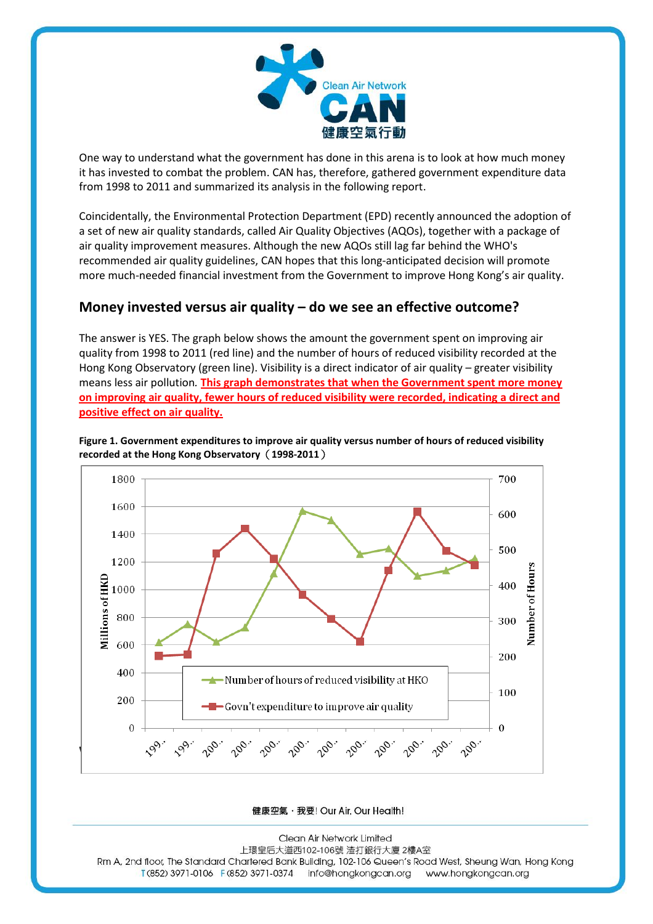

One way to understand what the government has done in this arena is to look at how much money it has invested to combat the problem. CAN has, therefore, gathered government expenditure data from 1998 to 2011 and summarized its analysis in the following report.

Coincidentally, the Environmental Protection Department (EPD) recently announced the adoption of a set of new air quality standards, called Air Quality Objectives (AQOs), together with a package of air quality improvement measures. Although the new AQOs still lag far behind the WHO's recommended air quality guidelines, CAN hopes that this long-anticipated decision will promote more much-needed financial investment from the Government to improve Hong Kong's air quality.

## **Money invested versus air quality – do we see an effective outcome?**

The answer is YES. The graph below shows the amount the government spent on improving air quality from 1998 to 2011 (red line) and the number of hours of reduced visibility recorded at the Hong Kong Observatory (green line). Visibility is a direct indicator of air quality – greater visibility means less air pollution*.* **This graph demonstrates that when the Government spent more money on improving air quality, fewer hours of reduced visibility were recorded, indicating a direct and positive effect on air quality.**



**Figure 1. Government expenditures to improve air quality versus number of hours of reduced visibility recorded at the Hong Kong Observatory**(**1998-2011**)

健康空氣, 我要! Our Air, Our Health!

Clean Air Network Limited 上環皇后大道西102-106號 渣打銀行大廈 2樓A室 Rm A, 2nd floor, The Standard Chartered Bank Building, 102-106 Queen's Road West, Sheung Wan, Hong Kong T (852) 3971-0106 F (852) 3971-0374 Info@hongkongcan.org www.hongkongcan.org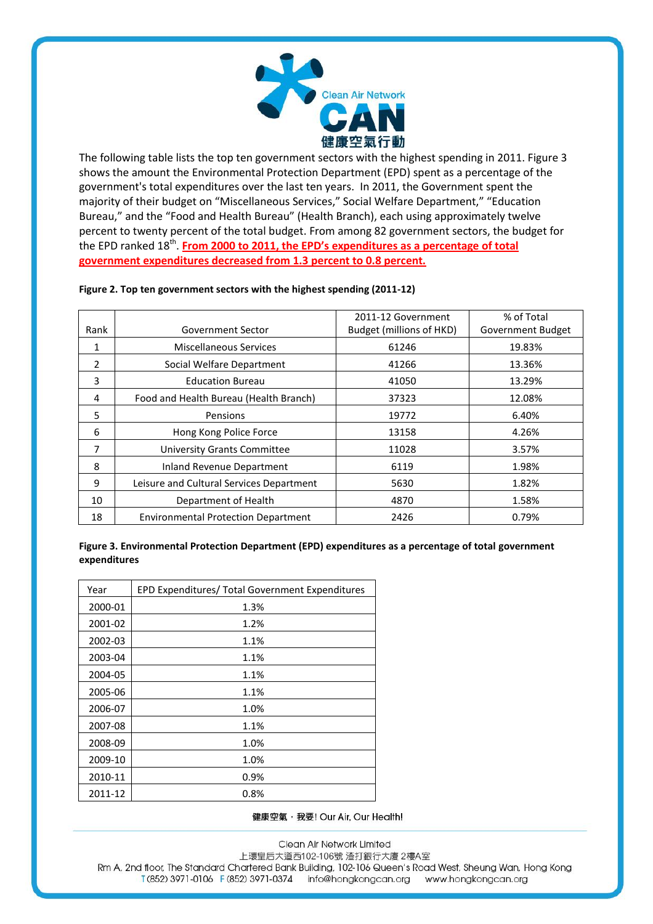

The following table lists the top ten government sectors with the highest spending in 2011. Figure 3 shows the amount the Environmental Protection Department (EPD) spent as a percentage of the government's total expenditures over the last ten years. In 2011, the Government spent the majority of their budget on "Miscellaneous Services," Social Welfare Department," "Education Bureau," and the "Food and Health Bureau" (Health Branch), each using approximately twelve percent to twenty percent of the total budget. From among 82 government sectors, the budget for the EPD ranked 18<sup>th</sup>. **From 2000 to 2011, the EPD's expenditures as a percentage of total government expenditures decreased from 1.3 percent to 0.8 percent.**

|      |                                            | 2011-12 Government       | % of Total               |
|------|--------------------------------------------|--------------------------|--------------------------|
| Rank | Government Sector                          | Budget (millions of HKD) | <b>Government Budget</b> |
| 1    | Miscellaneous Services                     | 61246                    | 19.83%                   |
| 2    | Social Welfare Department                  | 41266                    | 13.36%                   |
| 3    | <b>Education Bureau</b>                    | 41050                    | 13.29%                   |
| 4    | Food and Health Bureau (Health Branch)     | 37323                    | 12.08%                   |
| 5    | Pensions                                   | 19772                    | 6.40%                    |
| 6    | Hong Kong Police Force                     | 13158                    | 4.26%                    |
| 7    | <b>University Grants Committee</b>         | 11028                    | 3.57%                    |
| 8    | Inland Revenue Department                  | 6119                     | 1.98%                    |
| 9    | Leisure and Cultural Services Department   | 5630                     | 1.82%                    |
| 10   | Department of Health                       | 4870                     | 1.58%                    |
| 18   | <b>Environmental Protection Department</b> | 2426                     | 0.79%                    |

#### **Figure 2. Top ten government sectors with the highest spending (2011-12)**

**Figure 3. Environmental Protection Department (EPD) expenditures as a percentage of total government expenditures** 

| Year    | EPD Expenditures/ Total Government Expenditures |
|---------|-------------------------------------------------|
| 2000-01 | 1.3%                                            |
| 2001-02 | 1.2%                                            |
| 2002-03 | 1.1%                                            |
| 2003-04 | 1.1%                                            |
| 2004-05 | 1.1%                                            |
| 2005-06 | 1.1%                                            |
| 2006-07 | 1.0%                                            |
| 2007-08 | 1.1%                                            |
| 2008-09 | 1.0%                                            |
| 2009-10 | 1.0%                                            |
| 2010-11 | 0.9%                                            |
| 2011-12 | 0.8%                                            |

健康空氣, 我要! Our Air, Our Health!

Clean Air Network Limited 上環皇后大道西102-106號 渣打銀行大廈 2樓A室 Rm A, 2nd floor, The Standard Chartered Bank Building, 102-106 Queen's Road West, Sheung Wan, Hong Kong T (852) 3971-0106 F (852) 3971-0374 info@hongkongcan.org www.hongkongcan.org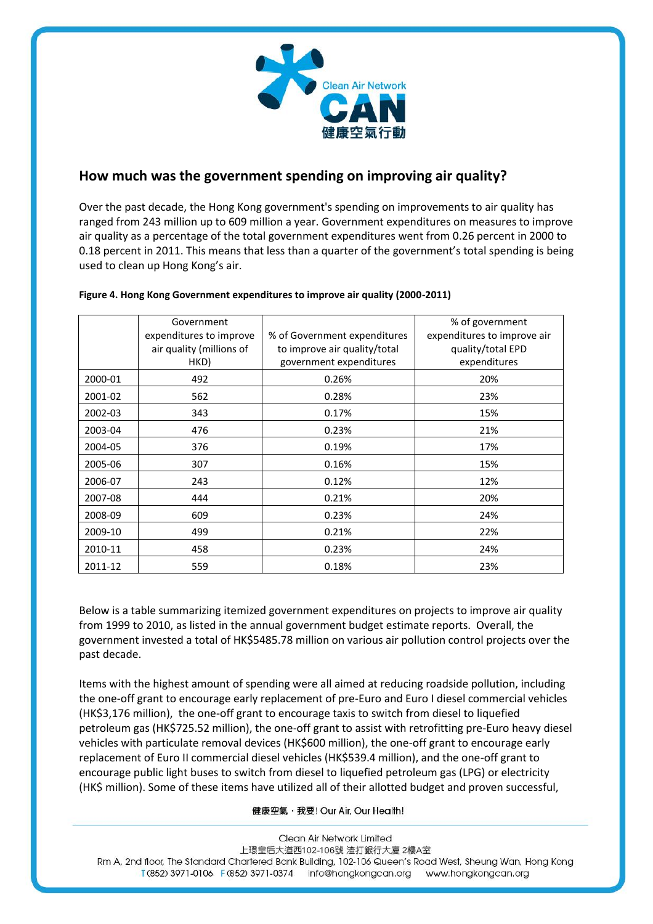

#### **How much was the government spending on improving air quality?**

Over the past decade, the Hong Kong government's spending on improvements to air quality has ranged from 243 million up to 609 million a year. Government expenditures on measures to improve air quality as a percentage of the total government expenditures went from 0.26 percent in 2000 to 0.18 percent in 2011. This means that less than a quarter of the government's total spending is being used to clean up Hong Kong's air.

|                         | Government               |                              | % of government             |  |
|-------------------------|--------------------------|------------------------------|-----------------------------|--|
| expenditures to improve |                          | % of Government expenditures | expenditures to improve air |  |
|                         | air quality (millions of | to improve air quality/total | quality/total EPD           |  |
|                         | HKD)                     | government expenditures      | expenditures                |  |
| 2000-01                 | 492                      | 0.26%                        | 20%                         |  |
| 2001-02                 | 562                      | 0.28%                        | 23%                         |  |
| 2002-03                 | 343                      | 0.17%                        | 15%                         |  |
| 2003-04                 | 476                      | 0.23%                        | 21%                         |  |
| 2004-05                 | 376                      | 0.19%                        | 17%                         |  |
| 2005-06                 | 307                      | 0.16%                        | 15%                         |  |
| 2006-07                 | 243                      | 0.12%                        | 12%                         |  |
| 2007-08                 | 444                      | 0.21%                        | 20%                         |  |
| 2008-09                 | 609                      | 0.23%                        | 24%                         |  |
| 2009-10                 | 499                      | 0.21%                        | 22%                         |  |
| 2010-11                 | 458                      | 0.23%                        | 24%                         |  |
| 2011-12                 | 559                      | 0.18%                        | 23%                         |  |

#### **Figure 4. Hong Kong Government expenditures to improve air quality (2000-2011)**

Below is a table summarizing itemized government expenditures on projects to improve air quality from 1999 to 2010, as listed in the annual government budget estimate reports. Overall, the government invested a total of HK\$5485.78 million on various air pollution control projects over the past decade.

Items with the highest amount of spending were all aimed at reducing roadside pollution, including the one-off grant to encourage early replacement of pre-Euro and Euro I diesel commercial vehicles (HK\$3,176 million), the one-off grant to encourage taxis to switch from diesel to liquefied petroleum gas (HK\$725.52 million), the one-off grant to assist with retrofitting pre-Euro heavy diesel vehicles with particulate removal devices (HK\$600 million), the one-off grant to encourage early replacement of Euro II commercial diesel vehicles (HK\$539.4 million), and the one-off grant to encourage public light buses to switch from diesel to liquefied petroleum gas (LPG) or electricity (HK\$ million). Some of these items have utilized all of their allotted budget and proven successful,

健康空氣, 我要! Our Air, Our Health!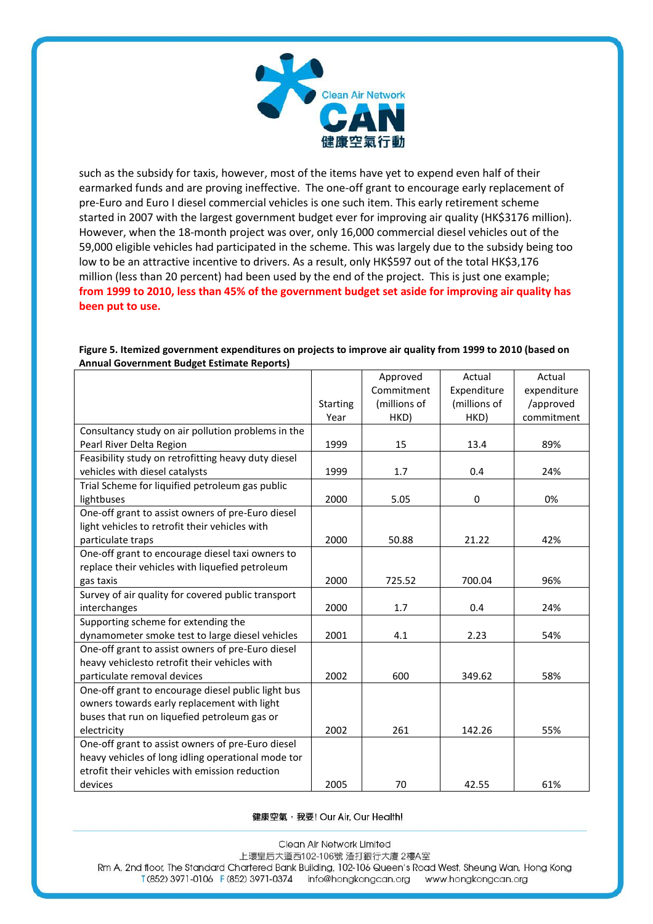

such as the subsidy for taxis, however, most of the items have yet to expend even half of their earmarked funds and are proving ineffective. The one-off grant to encourage early replacement of pre-Euro and Euro I diesel commercial vehicles is one such item. This early retirement scheme started in 2007 with the largest government budget ever for improving air quality (HK\$3176 million). However, when the 18-month project was over, only 16,000 commercial diesel vehicles out of the 59,000 eligible vehicles had participated in the scheme. This was largely due to the subsidy being too low to be an attractive incentive to drivers. As a result, only HK\$597 out of the total HK\$3,176 million (less than 20 percent) had been used by the end of the project. This is just one example; **from 1999 to 2010, less than 45% of the government budget set aside for improving air quality has been put to use.**

|                                                     |                 | Approved     | Actual       | Actual      |
|-----------------------------------------------------|-----------------|--------------|--------------|-------------|
|                                                     |                 | Commitment   | Expenditure  | expenditure |
|                                                     | <b>Starting</b> | (millions of | (millions of | /approved   |
|                                                     | Year            | HKD)         | HKD)         | commitment  |
| Consultancy study on air pollution problems in the  |                 |              |              |             |
| Pearl River Delta Region                            | 1999            | 15           | 13.4         | 89%         |
| Feasibility study on retrofitting heavy duty diesel |                 |              |              |             |
| vehicles with diesel catalysts                      | 1999            | 1.7          | 0.4          | 24%         |
| Trial Scheme for liquified petroleum gas public     |                 |              |              |             |
| lightbuses                                          | 2000            | 5.05         | $\mathbf 0$  | 0%          |
| One-off grant to assist owners of pre-Euro diesel   |                 |              |              |             |
| light vehicles to retrofit their vehicles with      |                 |              |              |             |
| particulate traps                                   | 2000            | 50.88        | 21.22        | 42%         |
| One-off grant to encourage diesel taxi owners to    |                 |              |              |             |
| replace their vehicles with liquefied petroleum     |                 |              |              |             |
| gas taxis                                           | 2000            | 725.52       | 700.04       | 96%         |
| Survey of air quality for covered public transport  |                 |              |              |             |
| interchanges                                        | 2000            | 1.7          | 0.4          | 24%         |
| Supporting scheme for extending the                 |                 |              |              |             |
| dynamometer smoke test to large diesel vehicles     | 2001            | 4.1          | 2.23         | 54%         |
| One-off grant to assist owners of pre-Euro diesel   |                 |              |              |             |
| heavy vehiclesto retrofit their vehicles with       |                 |              |              |             |
| particulate removal devices                         | 2002            | 600          | 349.62       | 58%         |
| One-off grant to encourage diesel public light bus  |                 |              |              |             |
| owners towards early replacement with light         |                 |              |              |             |
| buses that run on liquefied petroleum gas or        |                 |              |              |             |
| electricity                                         | 2002            | 261          | 142.26       | 55%         |
| One-off grant to assist owners of pre-Euro diesel   |                 |              |              |             |
| heavy vehicles of long idling operational mode tor  |                 |              |              |             |
| etrofit their vehicles with emission reduction      |                 |              |              |             |
| devices                                             | 2005            | 70           | 42.55        | 61%         |

#### **Figure 5. Itemized government expenditures on projects to improve air quality from 1999 to 2010 (based on Annual Government Budget Estimate Reports)**

健康空氣, 我要! Our Air, Our Health!

Clean Air Network Limited 上環皇后大道西102-106號 渣打銀行大廈 2樓A室 Rm A, 2nd floor, The Standard Chartered Bank Building, 102-106 Queen's Road West, Sheung Wan, Hong Kong T (852) 3971-0106 F (852) 3971-0374 info@hongkongcan.org www.hongkongcan.org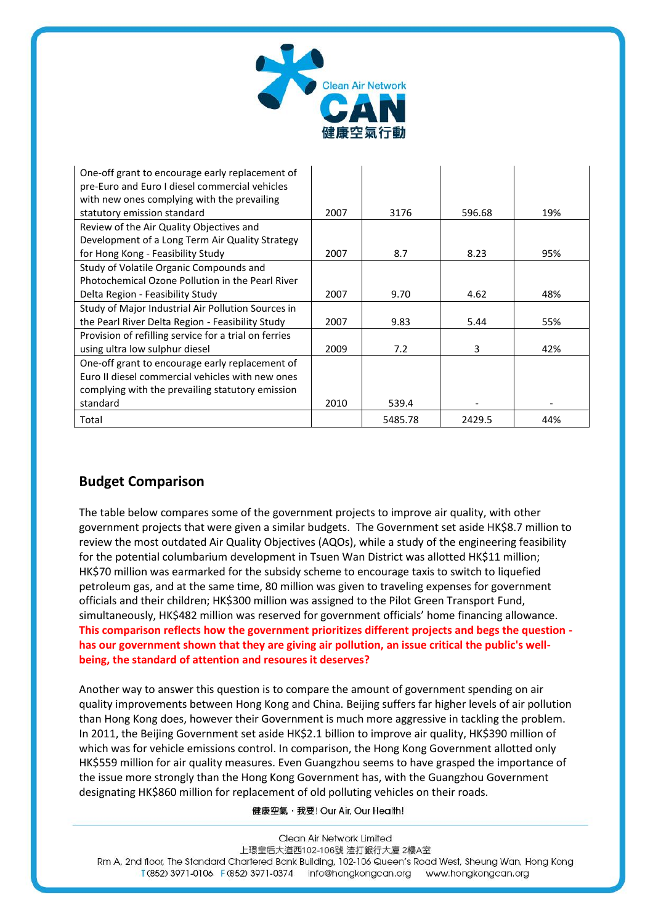

| One-off grant to encourage early replacement of       |      |         |        |     |
|-------------------------------------------------------|------|---------|--------|-----|
| pre-Euro and Euro I diesel commercial vehicles        |      |         |        |     |
| with new ones complying with the prevailing           |      |         |        |     |
| statutory emission standard                           | 2007 | 3176    | 596.68 | 19% |
| Review of the Air Quality Objectives and              |      |         |        |     |
| Development of a Long Term Air Quality Strategy       |      |         |        |     |
| for Hong Kong - Feasibility Study                     | 2007 | 8.7     | 8.23   | 95% |
| Study of Volatile Organic Compounds and               |      |         |        |     |
| Photochemical Ozone Pollution in the Pearl River      |      |         |        |     |
| Delta Region - Feasibility Study                      | 2007 | 9.70    | 4.62   | 48% |
| Study of Major Industrial Air Pollution Sources in    |      |         |        |     |
| the Pearl River Delta Region - Feasibility Study      | 2007 | 9.83    | 5.44   | 55% |
| Provision of refilling service for a trial on ferries |      |         |        |     |
| using ultra low sulphur diesel                        | 2009 | 7.2     | 3      | 42% |
| One-off grant to encourage early replacement of       |      |         |        |     |
| Euro II diesel commercial vehicles with new ones      |      |         |        |     |
| complying with the prevailing statutory emission      |      |         |        |     |
| standard                                              | 2010 | 539.4   |        |     |
| Total                                                 |      | 5485.78 | 2429.5 | 44% |

#### **Budget Comparison**

The table below compares some of the government projects to improve air quality, with other government projects that were given a similar budgets. The Government set aside HK\$8.7 million to review the most outdated Air Quality Objectives (AQOs), while a study of the engineering feasibility for the potential columbarium development in Tsuen Wan District was allotted HK\$11 million; HK\$70 million was earmarked for the subsidy scheme to encourage taxis to switch to liquefied petroleum gas, and at the same time, 80 million was given to traveling expenses for government officials and their children; HK\$300 million was assigned to the Pilot Green Transport Fund, simultaneously, HK\$482 million was reserved for government officials' home financing allowance. **This comparison reflects how the government prioritizes different projects and begs the question has our government shown that they are giving air pollution, an issue critical the public's wellbeing, the standard of attention and resoures it deserves?** 

Another way to answer this question is to compare the amount of government spending on air quality improvements between Hong Kong and China. Beijing suffers far higher levels of air pollution than Hong Kong does, however their Government is much more aggressive in tackling the problem. In 2011, the Beijing Government set aside HK\$2.1 billion to improve air quality, HK\$390 million of which was for vehicle emissions control. In comparison, the Hong Kong Government allotted only HK\$559 million for air quality measures. Even Guangzhou seems to have grasped the importance of the issue more strongly than the Hong Kong Government has, with the Guangzhou Government designating HK\$860 million for replacement of old polluting vehicles on their roads.

健康空氣, 我要! Our Air, Our Health!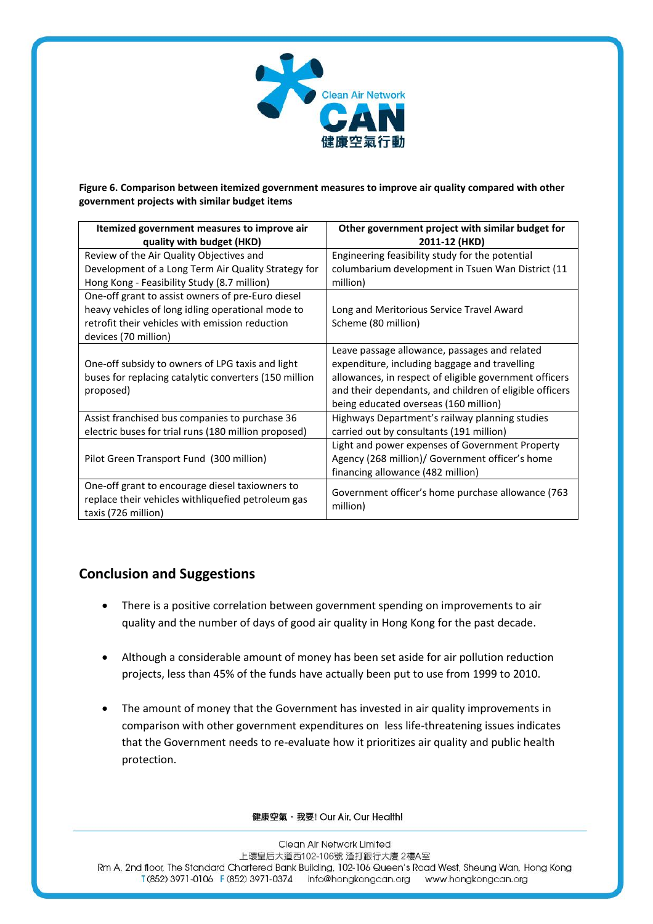

**Figure 6. Comparison between itemized government measures to improve air quality compared with other government projects with similar budget items**

| Itemized government measures to improve air                                                                                                                                       | Other government project with similar budget for                                                                                                                                                                                                             |  |
|-----------------------------------------------------------------------------------------------------------------------------------------------------------------------------------|--------------------------------------------------------------------------------------------------------------------------------------------------------------------------------------------------------------------------------------------------------------|--|
| quality with budget (HKD)                                                                                                                                                         | 2011-12 (HKD)                                                                                                                                                                                                                                                |  |
| Review of the Air Quality Objectives and<br>Development of a Long Term Air Quality Strategy for                                                                                   | Engineering feasibility study for the potential<br>columbarium development in Tsuen Wan District (11                                                                                                                                                         |  |
| Hong Kong - Feasibility Study (8.7 million)                                                                                                                                       | million)                                                                                                                                                                                                                                                     |  |
| One-off grant to assist owners of pre-Euro diesel<br>heavy vehicles of long idling operational mode to<br>retrofit their vehicles with emission reduction<br>devices (70 million) | Long and Meritorious Service Travel Award<br>Scheme (80 million)                                                                                                                                                                                             |  |
| One-off subsidy to owners of LPG taxis and light<br>buses for replacing catalytic converters (150 million<br>proposed)                                                            | Leave passage allowance, passages and related<br>expenditure, including baggage and travelling<br>allowances, in respect of eligible government officers<br>and their dependants, and children of eligible officers<br>being educated overseas (160 million) |  |
| Assist franchised bus companies to purchase 36<br>electric buses for trial runs (180 million proposed)                                                                            | Highways Department's railway planning studies<br>carried out by consultants (191 million)                                                                                                                                                                   |  |
| Pilot Green Transport Fund (300 million)                                                                                                                                          | Light and power expenses of Government Property<br>Agency (268 million)/ Government officer's home<br>financing allowance (482 million)                                                                                                                      |  |
| One-off grant to encourage diesel taxiowners to<br>replace their vehicles withliquefied petroleum gas<br>taxis (726 million)                                                      | Government officer's home purchase allowance (763<br>million)                                                                                                                                                                                                |  |

## **Conclusion and Suggestions**

- There is a positive correlation between government spending on improvements to air quality and the number of days of good air quality in Hong Kong for the past decade.
- Although a considerable amount of money has been set aside for air pollution reduction projects, less than 45% of the funds have actually been put to use from 1999 to 2010.
- The amount of money that the Government has invested in air quality improvements in comparison with other government expenditures on less life-threatening issues indicates that the Government needs to re-evaluate how it prioritizes air quality and public health protection.

健康空氣, 我要! Our Air, Our Health!

Clean Air Network Limited 上環皇后大道西102-106號 渣打銀行大廈 2樓A室 Rm A, 2nd floor, The Standard Chartered Bank Building, 102-106 Queen's Road West, Sheung Wan, Hong Kong T (852) 3971-0106 F (852) 3971-0374 Info@hongkongcan.org www.hongkongcan.org